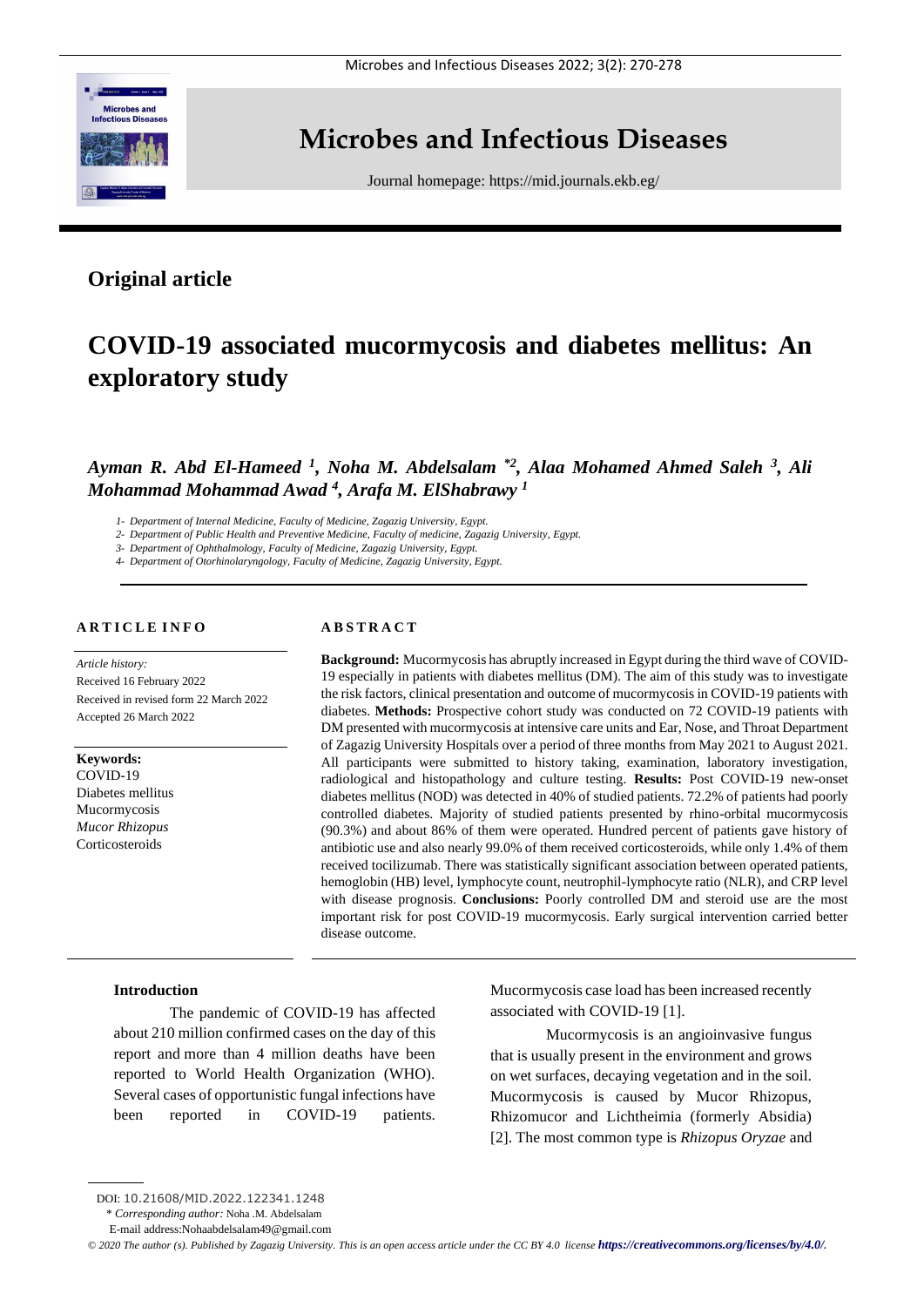

# **Microbes and Infectious Diseases**

Journal homepage:<https://mid.journals.ekb.eg/>

# **Original article**

# **COVID-19 associated mucormycosis and diabetes mellitus: An exploratory study**

Ayman R. Abd El-Hameed <sup>1</sup>, Noha M. Abdelsalam <sup>\*2</sup>, Alaa Mohamed Ahmed Saleh <sup>3</sup>, Ali *Mohammad Mohammad Awad <sup>4</sup> , Arafa M. ElShabrawy <sup>1</sup>*

*1- Department of Internal Medicine, Faculty of Medicine, Zagazig University, Egypt.*

*2- Department of Public Health and Preventive Medicine, Faculty of medicine, Zagazig University, Egypt.*

*3- Department of Ophthalmology, Faculty of Medicine, Zagazig University, Egypt.*

*4- Department of Otorhinolaryngology, Faculty of Medicine, Zagazig University, Egypt.*

# **A R T I C L E I N F O**

*Article history:*  Received 16 February 2022 Received in revised form 22 March 2022 Accepted 26 March 2022

**Keywords:**

COVID-19 Diabetes mellitus Mucormycosis *Mucor Rhizopus* **Corticosteroids** 

# **A B S T R A C T**

**Background:** Mucormycosis has abruptly increased in Egypt during the third wave of COVID-19 especially in patients with diabetes mellitus (DM). The aim of this study was to investigate the risk factors, clinical presentation and outcome of mucormycosis in COVID-19 patients with diabetes. **Methods:** Prospective cohort study was conducted on 72 COVID-19 patients with DM presented with mucormycosis at intensive care units and Ear, Nose, and Throat Department of Zagazig University Hospitals over a period of three months from May 2021 to August 2021. All participants were submitted to history taking, examination, laboratory investigation, radiological and histopathology and culture testing. **Results:** Post COVID-19 new-onset diabetes mellitus (NOD) was detected in 40% of studied patients. 72.2% of patients had poorly controlled diabetes. Majority of studied patients presented by rhino-orbital mucormycosis (90.3%) and about 86% of them were operated. Hundred percent of patients gave history of antibiotic use and also nearly 99.0% of them received corticosteroids, while only 1.4% of them received tocilizumab. There was statistically significant association between operated patients, hemoglobin (HB) level, lymphocyte count, neutrophil-lymphocyte ratio (NLR), and CRP level with disease prognosis. **Conclusions:** Poorly controlled DM and steroid use are the most important risk for post COVID-19 mucormycosis. Early surgical intervention carried better disease outcome.

#### **Introduction**

The pandemic of COVID-19 has affected about 210 million confirmed cases on the day of this report and more than 4 million deaths have been reported to World Health Organization (WHO). Several cases of opportunistic fungal infections have been reported in COVID-19 patients.

Mucormycosis case load has been increased recently associated with COVID-19 [1].

Mucormycosis is an angioinvasive fungus that is usually present in the environment and grows on wet surfaces, decaying vegetation and in the soil. Mucormycosis is caused by Mucor Rhizopus, Rhizomucor and Lichtheimia (formerly Absidia) [2]. The most common type is *Rhizopus Oryzae* and

DOI: 10.21608/MID.2022.122341.1248

<sup>\*</sup> *Corresponding author:* Noha .M. Abdelsalam

E-mail address:Nohaabdelsalam49@gmail.com

*<sup>©</sup> 2020 The author (s). Published by Zagazig University. This is an open access article under the CC BY 4.0 license <https://creativecommons.org/licenses/by/4.0/>.*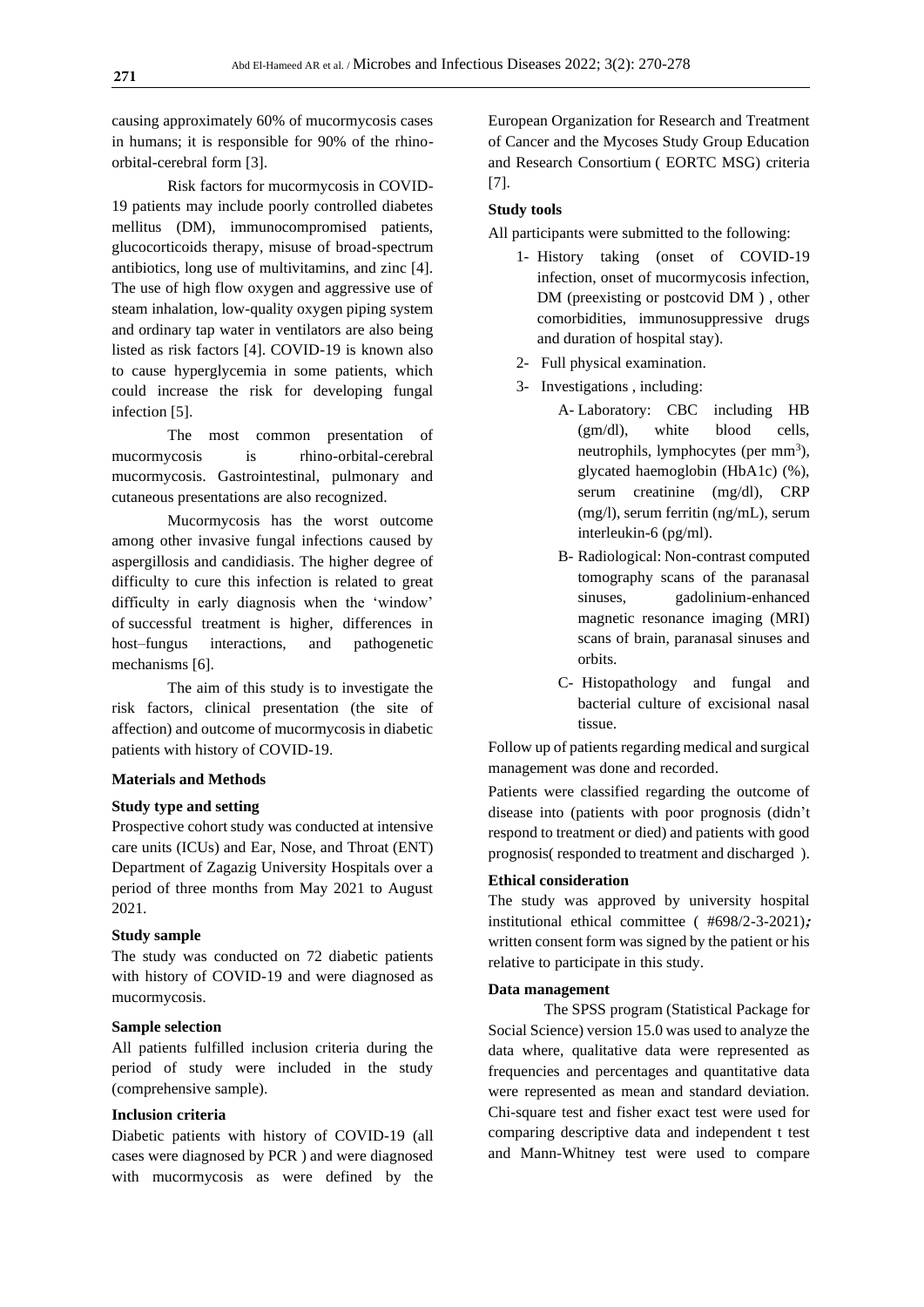causing approximately 60% of mucormycosis cases in humans; it is responsible for 90% of the rhinoorbital-cerebral form [3].

Risk factors for mucormycosis in COVID-19 patients may include poorly controlled diabetes mellitus (DM), immunocompromised patients, glucocorticoids therapy, misuse of broad-spectrum antibiotics, long use of multivitamins, and zinc [4]. The use of high flow oxygen and aggressive use of steam inhalation, low-quality oxygen piping system and ordinary tap water in ventilators are also being listed as risk factors [4]. COVID-19 is known also to cause hyperglycemia in some patients, which could increase the risk for developing fungal infection [5].

The most common presentation of mucormycosis is rhino-orbital-cerebral mucormycosis. Gastrointestinal, pulmonary and cutaneous presentations are also recognized.

Mucormycosis has the worst outcome among other invasive fungal infections caused by aspergillosis and candidiasis. The higher degree of difficulty to cure this infection is related to great difficulty in early diagnosis when the 'window' of successful treatment is higher, differences in host–fungus interactions, and pathogenetic mechanisms [6].

The aim of this study is to investigate the risk factors, clinical presentation (the site of affection) and outcome of mucormycosis in diabetic patients with history of COVID-19.

## **Materials and Methods**

# **Study type and setting**

Prospective cohort study was conducted at intensive care units (ICUs) and Ear, Nose, and Throat (ENT) Department of Zagazig University Hospitals over a period of three months from May 2021 to August 2021.

### **Study sample**

The study was conducted on 72 diabetic patients with history of COVID-19 and were diagnosed as mucormycosis.

# **Sample selection**

All patients fulfilled inclusion criteria during the period of study were included in the study (comprehensive sample).

# **Inclusion criteria**

Diabetic patients with history of COVID-19 (all cases were diagnosed by PCR ) and were diagnosed with mucormycosis as were defined by the

European Organization for Research and Treatment of Cancer and the Mycoses Study Group Education and Research Consortium ( EORTC MSG) criteria [7].

## **Study tools**

All participants were submitted to the following:

- 1- History taking (onset of COVID-19 infection, onset of mucormycosis infection, DM (preexisting or postcovid DM ) , other comorbidities, immunosuppressive drugs and duration of hospital stay).
- 2- Full physical examination.
- 3- Investigations , including:
	- A- Laboratory: CBC including HB (gm/dl), white blood cells, neutrophils, lymphocytes (per mm<sup>3</sup>), glycated haemoglobin (HbA1c) (%), serum creatinine (mg/dl), CRP (mg/l), serum ferritin (ng/mL), serum interleukin-6 (pg/ml).
	- B- Radiological: Non-contrast computed tomography scans of the paranasal sinuses, gadolinium-enhanced magnetic resonance imaging (MRI) scans of brain, paranasal sinuses and orbits.
	- C- Histopathology and fungal and bacterial culture of excisional nasal tissue.

Follow up of patients regarding medical and surgical management was done and recorded.

Patients were classified regarding the outcome of disease into (patients with poor prognosis (didn't respond to treatment or died) and patients with good prognosis( responded to treatment and discharged ).

# **Ethical consideration**

The study was approved by university hospital institutional ethical committee ( #698/2-3-2021)**;** written consent form was signed by the patient or his relative to participate in this study.

#### **Data management**

The SPSS program (Statistical Package for Social Science) version 15.0 was used to analyze the data where, qualitative data were represented as frequencies and percentages and quantitative data were represented as mean and standard deviation. Chi-square test and fisher exact test were used for comparing descriptive data and independent t test and Mann-Whitney test were used to compare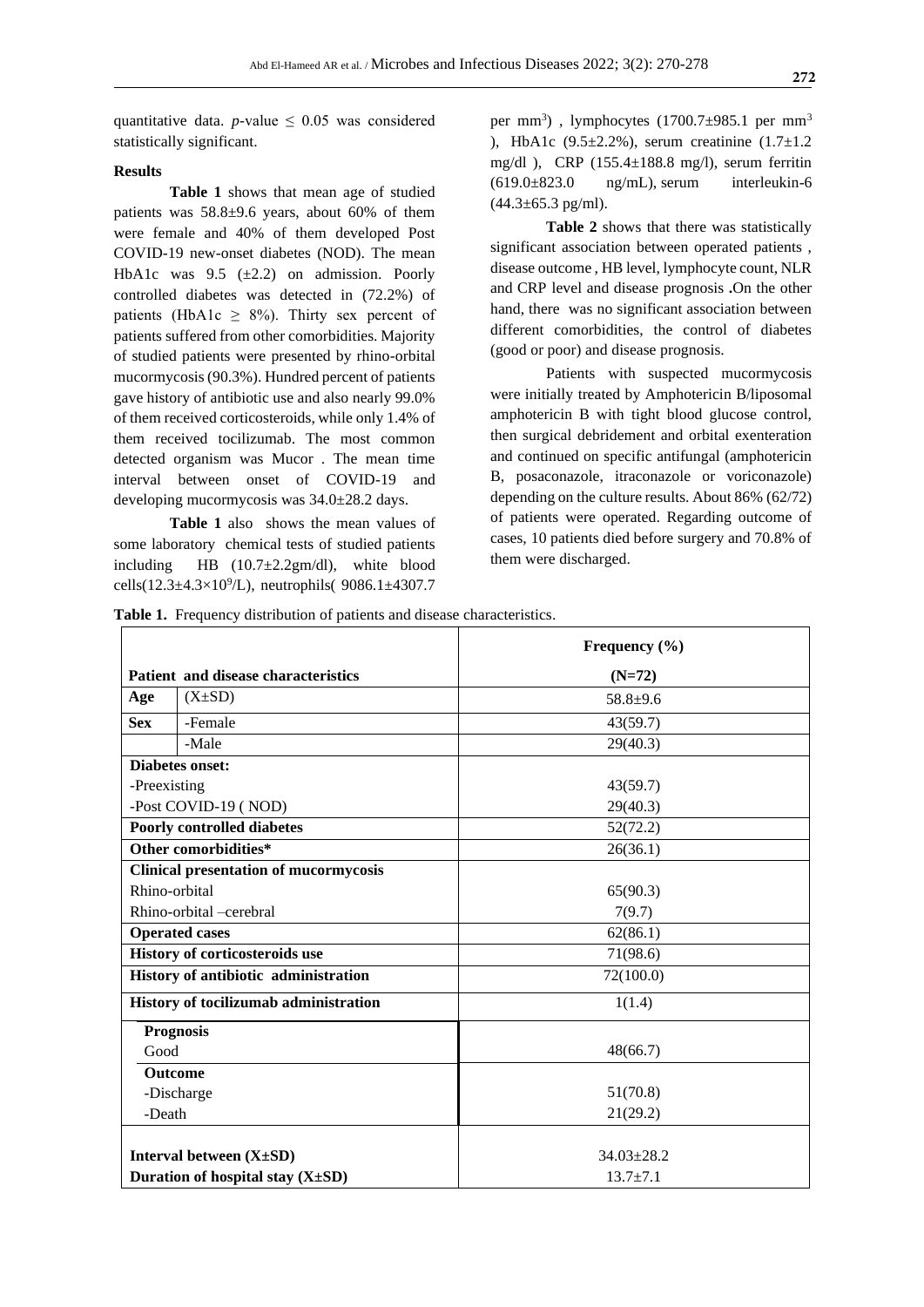quantitative data. *p*-value  $\leq$  0.05 was considered statistically significant.

# **Results**

**Table 1** shows that mean age of studied patients was 58.8±9.6 years, about 60% of them were female and 40% of them developed Post COVID-19 new-onset diabetes (NOD). The mean HbA1c was  $9.5$  ( $\pm$ 2.2) on admission. Poorly controlled diabetes was detected in (72.2%) of patients (HbA1c  $\geq$  8%). Thirty sex percent of patients suffered from other comorbidities. Majority of studied patients were presented by rhino-orbital mucormycosis (90.3%). Hundred percent of patients gave history of antibiotic use and also nearly 99.0% of them received corticosteroids, while only 1.4% of them received tocilizumab. The most common detected organism was Mucor . The mean time interval between onset of COVID-19 and developing mucormycosis was 34.0±28.2 days.

**Table 1** also shows the mean values of some laboratory chemical tests of studied patients including HB (10.7±2.2gm/dl), white blood cells( $12.3\pm4.3\times10^{9}/L$ ), neutrophils(  $9086.1\pm4307.7$ 

per mm<sup>3</sup>), lymphocytes (1700.7±985.1 per mm<sup>3</sup> ), HbA1c  $(9.5 \pm 2.2\%)$ , serum creatinine  $(1.7 \pm 1.2\%)$ mg/dl ), CRP (155.4±188.8 mg/l), serum ferritin  $(619.0\pm 823.0$  ng/mL), serum interleukin-6  $(44.3 \pm 65.3 \text{ pg/ml})$ .

**Table 2** shows that there was statistically significant association between operated patients , disease outcome , HB level, lymphocyte count, NLR and CRP level and disease prognosis **.**On the other hand, there was no significant association between different comorbidities, the control of diabetes (good or poor) and disease prognosis.

Patients with suspected mucormycosis were initially treated by Amphotericin B/liposomal amphotericin B with tight blood glucose control, then surgical debridement and orbital exenteration and continued on specific antifungal (amphotericin B, posaconazole, itraconazole or voriconazole) depending on the culture results. About 86% (62/72) of patients were operated. Regarding outcome of cases, 10 patients died before surgery and 70.8% of them were discharged.

**Table 1.** Frequency distribution of patients and disease characteristics.

|                                      |                                              | Frequency $(\% )$ |  |  |
|--------------------------------------|----------------------------------------------|-------------------|--|--|
| Patient and disease characteristics  |                                              | $(N=72)$          |  |  |
| Age                                  | $(X\pm SD)$                                  | $58.8 + 9.6$      |  |  |
| <b>Sex</b>                           | -Female                                      | 43(59.7)          |  |  |
|                                      | -Male                                        | 29(40.3)          |  |  |
|                                      | <b>Diabetes onset:</b>                       |                   |  |  |
| -Preexisting                         |                                              | 43(59.7)          |  |  |
| -Post COVID-19 (NOD)                 |                                              | 29(40.3)          |  |  |
| <b>Poorly controlled diabetes</b>    |                                              | 52(72.2)          |  |  |
| Other comorbidities*                 |                                              | 26(36.1)          |  |  |
|                                      | <b>Clinical presentation of mucormycosis</b> |                   |  |  |
| Rhino-orbital                        |                                              | 65(90.3)          |  |  |
| Rhino-orbital -cerebral              |                                              | 7(9.7)            |  |  |
| <b>Operated cases</b>                |                                              | 62(86.1)          |  |  |
| History of corticosteroids use       |                                              | 71(98.6)          |  |  |
| History of antibiotic administration |                                              | 72(100.0)         |  |  |
|                                      | History of tocilizumab administration        | 1(1.4)            |  |  |
|                                      | <b>Prognosis</b>                             |                   |  |  |
| Good                                 |                                              | 48(66.7)          |  |  |
|                                      | Outcome                                      |                   |  |  |
|                                      | -Discharge                                   | 51(70.8)          |  |  |
| -Death                               |                                              | 21(29.2)          |  |  |
|                                      | Interval between $(X \pm SD)$                | $34.03 \pm 28.2$  |  |  |
| Duration of hospital stay (X±SD)     |                                              | $13.7 \pm 7.1$    |  |  |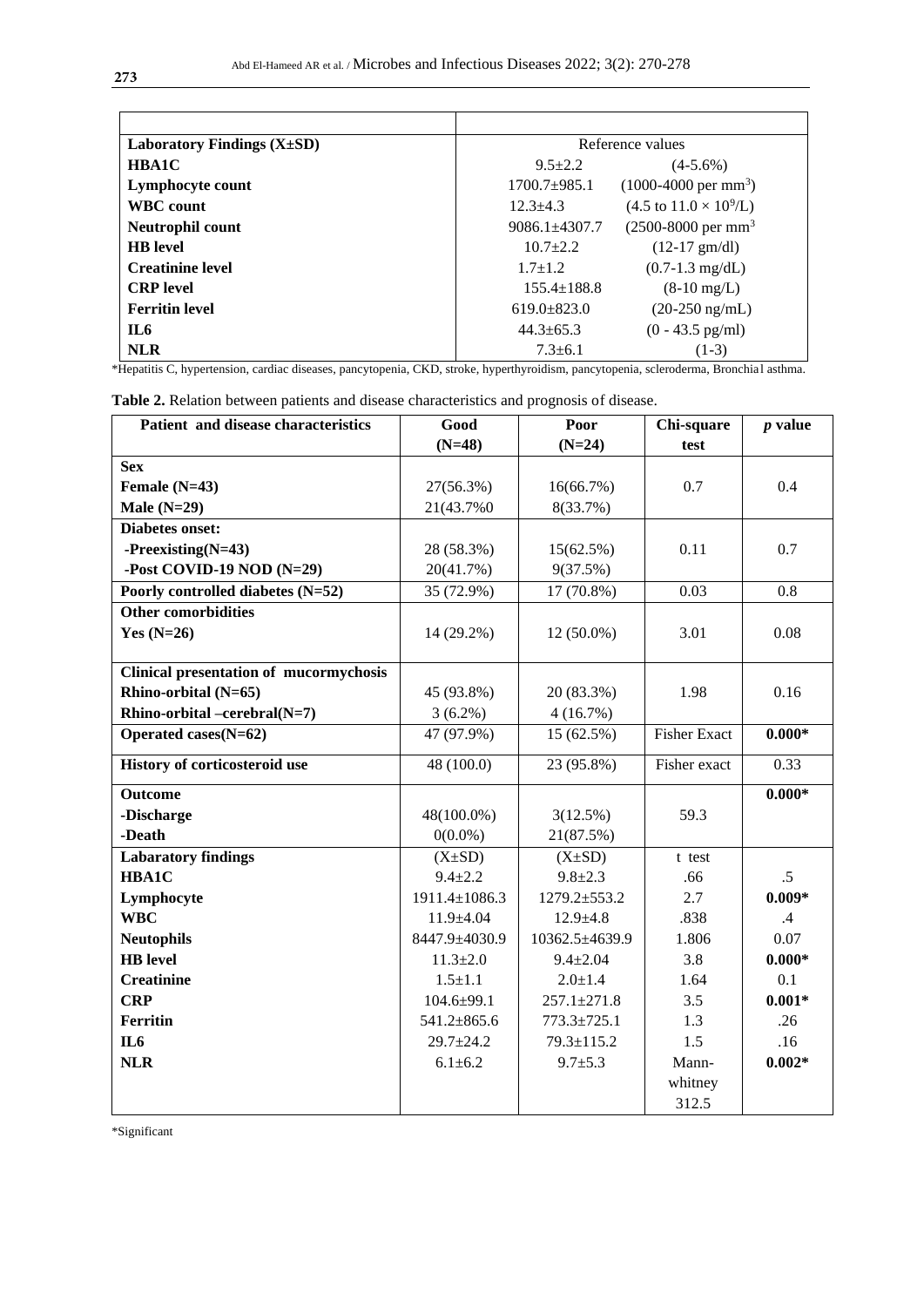| Laboratory Findings $(X \pm SD)$ | Reference values                                              |  |  |
|----------------------------------|---------------------------------------------------------------|--|--|
| <b>HBA1C</b>                     | $9.5 + 2.2$<br>$(4-5.6\%)$                                    |  |  |
| Lymphocyte count                 | $(1000-4000 \text{ per mm}^3)$<br>$1700.7+985.1$              |  |  |
| <b>WBC</b> count                 | $(4.5 \text{ to } 11.0 \times 10^9/\text{L})$<br>$12.3 + 4.3$ |  |  |
| Neutrophil count                 | $(2500 - 8000)$ per mm <sup>3</sup><br>$9086.1 \pm 4307.7$    |  |  |
| <b>HB</b> level                  | $10.7 + 2.2$<br>$(12-17 \text{ gm/dl})$                       |  |  |
| <b>Creatinine level</b>          | $(0.7-1.3 \text{ mg/dL})$<br>$1.7 + 1.2$                      |  |  |
| <b>CRP</b> level                 | $155.4 \pm 188.8$<br>$(8-10 \text{ mg/L})$                    |  |  |
| <b>Ferritin level</b>            | $619.0 \pm 823.0$<br>$(20-250 \text{ ng/mL})$                 |  |  |
| IL6                              | $(0 - 43.5 \text{ pg/ml})$<br>$44.3 \pm 65.3$                 |  |  |
| <b>NLR</b>                       | $7.3 + 6.1$<br>$(1-3)$                                        |  |  |

\*Hepatitis C, hypertension, cardiac diseases, pancytopenia, CKD, stroke, hyperthyroidism, pancytopenia, scleroderma, Bronchia l asthma.

| Patient and disease characteristics           | Good            | Poor              | Chi-square          | $p$ value       |
|-----------------------------------------------|-----------------|-------------------|---------------------|-----------------|
|                                               | $(N=48)$        | $(N=24)$          | test                |                 |
| <b>Sex</b>                                    |                 |                   |                     |                 |
| Female $(N=43)$                               | 27(56.3%)       | 16(66.7%)         | 0.7                 | 0.4             |
| Male $(N=29)$                                 | 21(43.7%0)      | 8(33.7%)          |                     |                 |
| <b>Diabetes onset:</b>                        |                 |                   |                     |                 |
| $-Preexisting(N=43)$                          | 28 (58.3%)      | 15(62.5%)         | 0.11                | 0.7             |
| -Post COVID-19 NOD (N=29)                     | 20(41.7%)       | 9(37.5%)          |                     |                 |
| Poorly controlled diabetes (N=52)             | 35 (72.9%)      | 17 (70.8%)        | 0.03                | 0.8             |
| <b>Other comorbidities</b>                    |                 |                   |                     |                 |
| Yes $(N=26)$                                  | 14 (29.2%)      | $12(50.0\%)$      | 3.01                | 0.08            |
|                                               |                 |                   |                     |                 |
| <b>Clinical presentation of mucormychosis</b> |                 |                   |                     |                 |
| Rhino-orbital (N=65)                          | 45 (93.8%)      | 20 (83.3%)        | 1.98                | 0.16            |
| Rhino-orbital -cerebral(N=7)                  | $3(6.2\%)$      | 4(16.7%)          |                     |                 |
| Operated cases $(N=62)$                       | 47 (97.9%)      | 15 (62.5%)        | <b>Fisher Exact</b> | $0.000*$        |
| History of corticosteroid use                 | 48 (100.0)      | 23 (95.8%)        | Fisher exact        | 0.33            |
| <b>Outcome</b>                                |                 |                   |                     | $0.000*$        |
| -Discharge                                    | 48(100.0%)      | 3(12.5%)          | 59.3                |                 |
| -Death                                        | $0(0.0\%)$      | 21(87.5%)         |                     |                 |
| <b>Labaratory findings</b>                    | $(X\pm SD)$     | $(X\pm SD)$       | t test              |                 |
| HBA1C                                         | $9.4 + 2.2$     | $9.8 + 2.3$       | .66                 | $.5\,$          |
| Lymphocyte                                    | 1911.4±1086.3   | 1279.2±553.2      | 2.7                 | $0.009*$        |
| <b>WBC</b>                                    | 11.9±4.04       | $12.9 \pm 4.8$    | .838                | $.4\phantom{0}$ |
| <b>Neutophils</b>                             | 8447.9±4030.9   | 10362.5±4639.9    | 1.806               | 0.07            |
| <b>HB</b> level                               | $11.3 \pm 2.0$  | $9.4 \pm 2.04$    | 3.8                 | $0.000*$        |
| <b>Creatinine</b>                             | $1.5 \pm 1.1$   | $2.0 \pm 1.4$     | 1.64                | 0.1             |
| <b>CRP</b>                                    | $104.6 + 99.1$  | $257.1 \pm 271.8$ | 3.5                 | $0.001*$        |
| <b>Ferritin</b>                               | 541.2±865.6     | 773.3±725.1       | 1.3                 | .26             |
| IL <sub>6</sub>                               | $29.7 \pm 24.2$ | 79.3±115.2        | 1.5                 | .16             |
| <b>NLR</b>                                    | $6.1 \pm 6.2$   | $9.7 + 5.3$       | Mann-               | $0.002*$        |
|                                               |                 |                   | whitney             |                 |
|                                               |                 |                   | 312.5               |                 |

**Table 2.** Relation between patients and disease characteristics and prognosis of disease.

\*Significant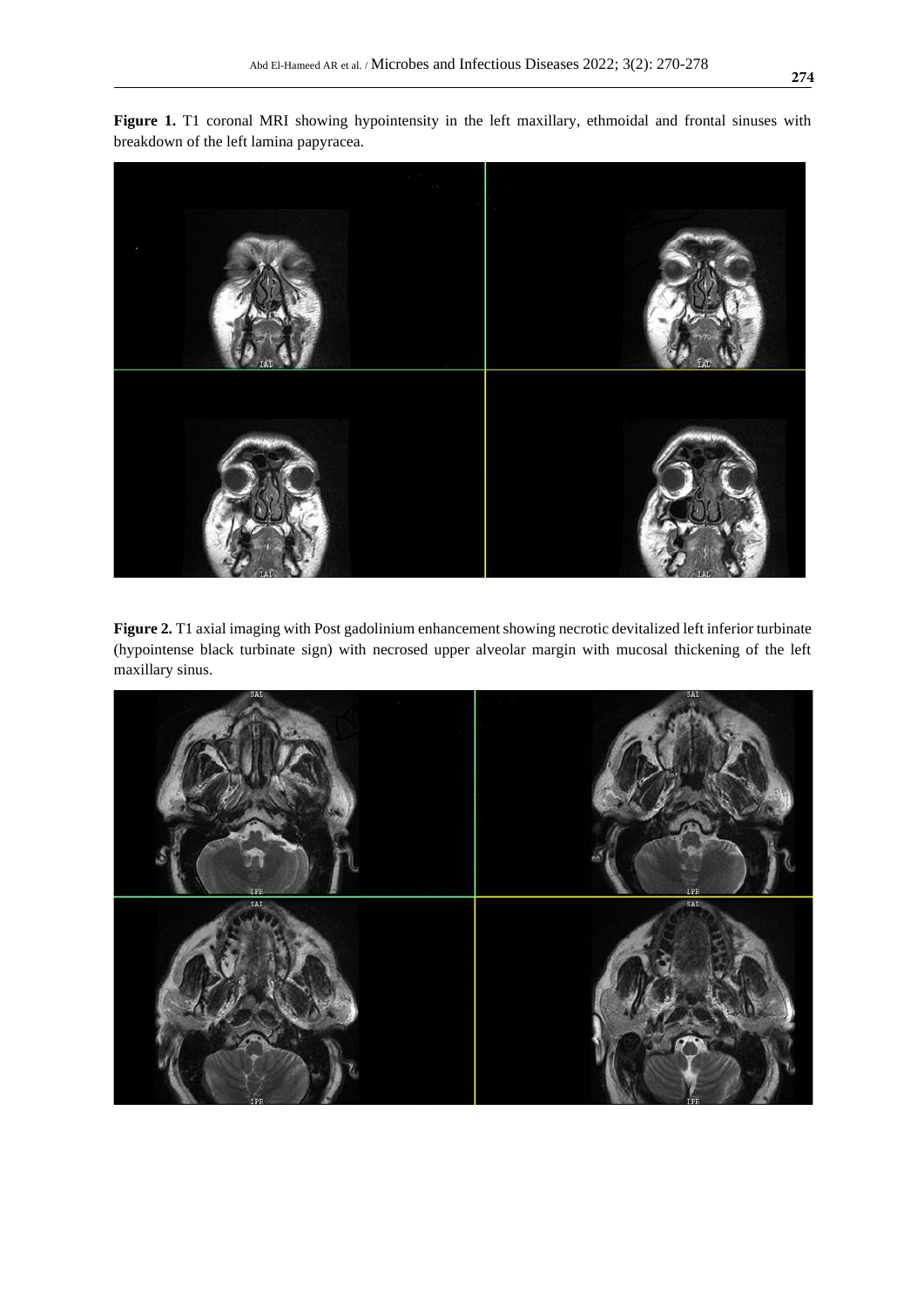

**Figure 1.** T1 coronal MRI showing hypointensity in the left maxillary, ethmoidal and frontal sinuses with breakdown of the left lamina papyracea.

**Figure 2.** T1 axial imaging with Post gadolinium enhancement showing necrotic devitalized left inferior turbinate (hypointense black turbinate sign) with necrosed upper alveolar margin with mucosal thickening of the left maxillary sinus.

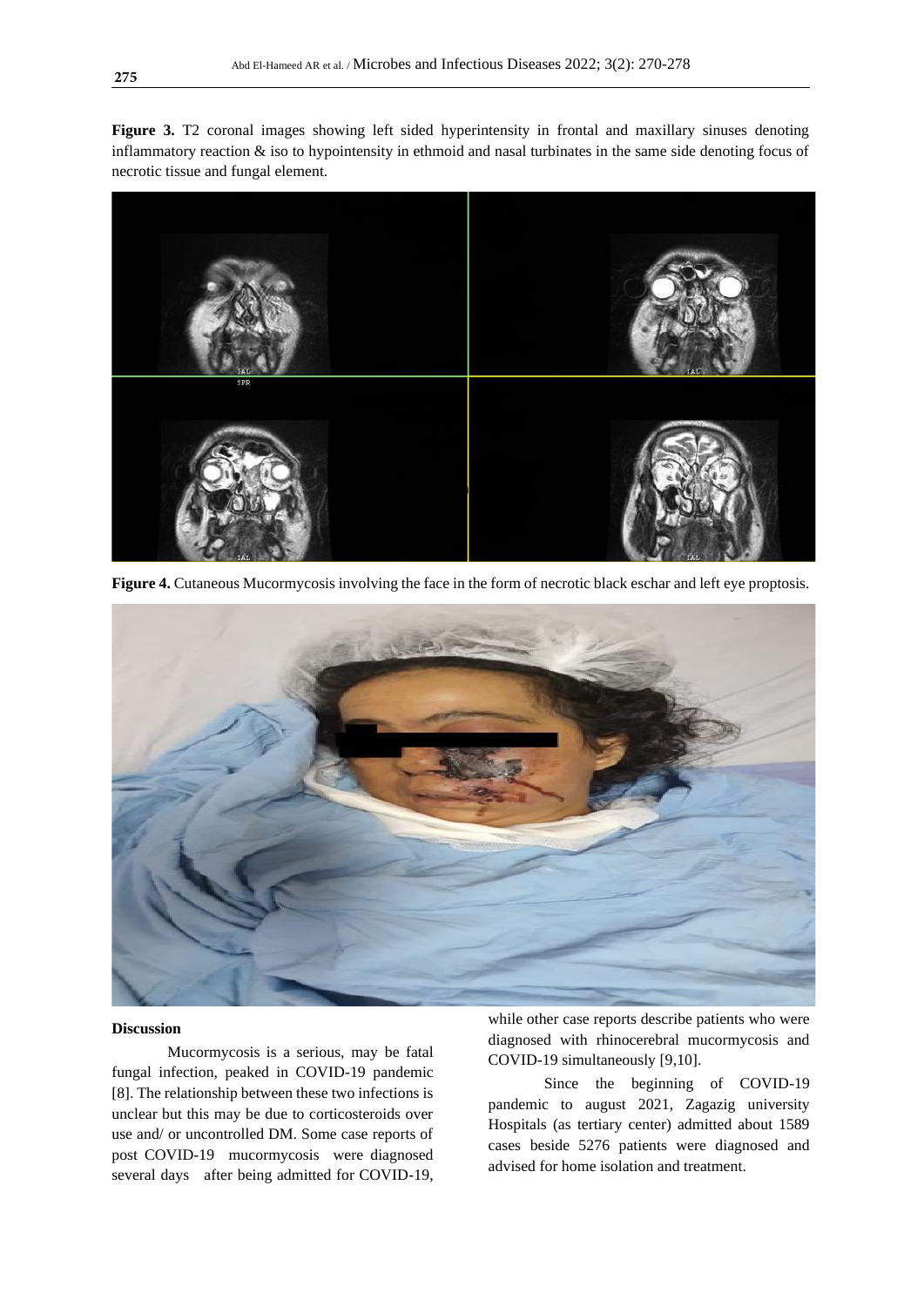Figure 3. T2 coronal images showing left sided hyperintensity in frontal and maxillary sinuses denoting inflammatory reaction  $\&$  iso to hypointensity in ethmoid and nasal turbinates in the same side denoting focus of necrotic tissue and fungal element.



**Figure 4.** Cutaneous Mucormycosis involving the face in the form of necrotic black eschar and left eye proptosis.



# **Discussion**

Mucormycosis is a serious, may be fatal fungal infection, peaked in COVID-19 pandemic [8]. The relationship between these two infections is unclear but this may be due to corticosteroids over use and/ or uncontrolled DM. Some case reports of post COVID-19 mucormycosis were diagnosed several days after being admitted for COVID-19,

while other case reports describe patients who were diagnosed with rhinocerebral mucormycosis and COVID-19 simultaneously [9,10].

Since the beginning of COVID-19 pandemic to august 2021, Zagazig university Hospitals (as tertiary center) admitted about 1589 cases beside 5276 patients were diagnosed and advised for home isolation and treatment.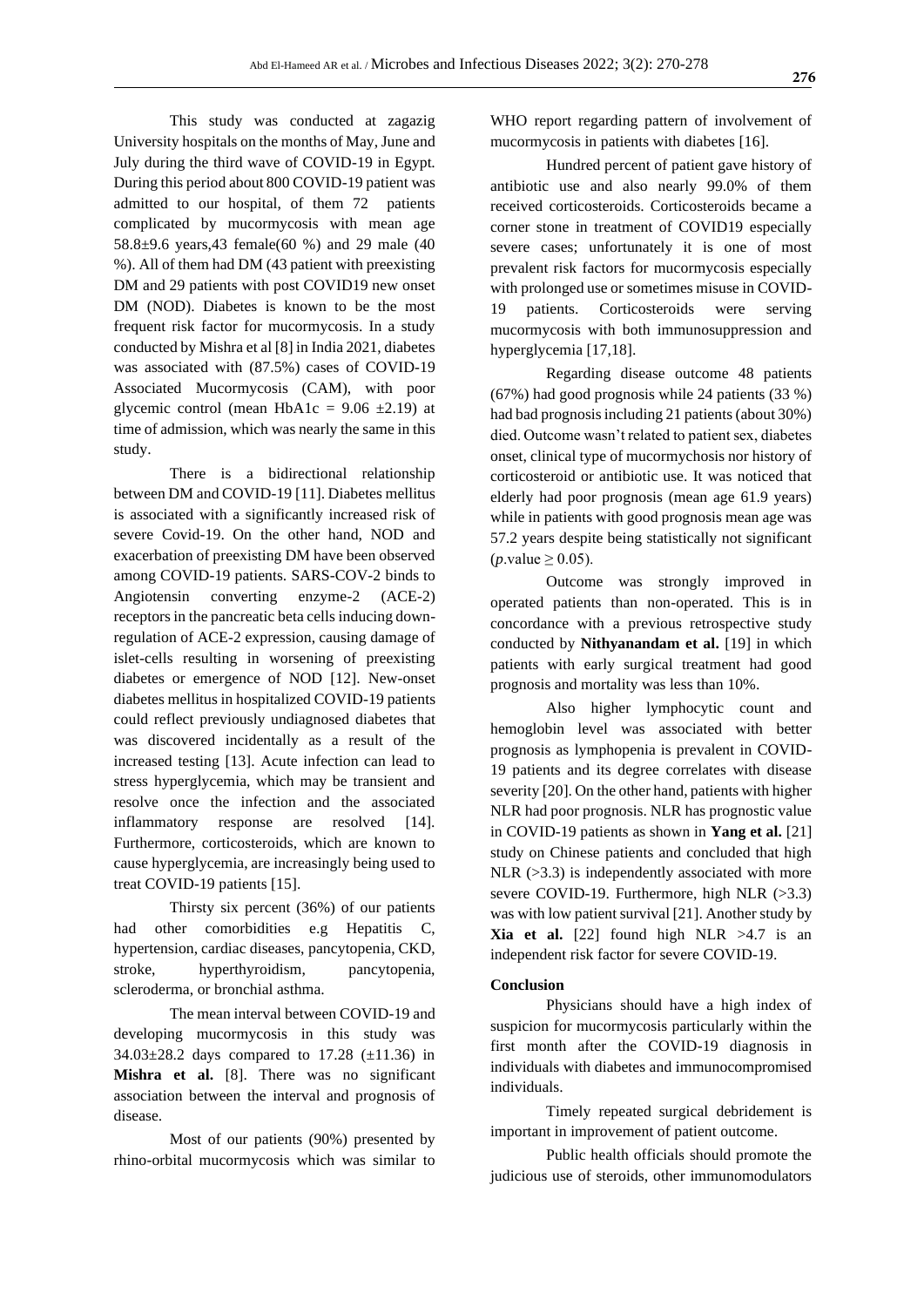This study was conducted at zagazig University hospitals on the months of May, June and July during the third wave of COVID-19 in Egypt. During this period about 800 COVID-19 patient was admitted to our hospital, of them 72 patients complicated by mucormycosis with mean age 58.8±9.6 years,43 female(60 %) and 29 male (40 %). All of them had DM (43 patient with preexisting DM and 29 patients with post COVID19 new onset DM (NOD). Diabetes is known to be the most frequent risk factor for mucormycosis. In a study conducted by Mishra et al [8] in India 2021, diabetes was associated with (87.5%) cases of COVID-19 Associated Mucormycosis (CAM), with poor glycemic control (mean HbA1c =  $9.06 \pm 2.19$ ) at time of admission, which was nearly the same in this study.

There is a bidirectional relationship between DM and COVID-19 [11]. Diabetes mellitus is associated with a significantly increased risk of severe Covid-19. On the other hand, NOD and exacerbation of preexisting DM have been observed among COVID-19 patients. SARS-COV-2 binds to Angiotensin converting enzyme-2 (ACE-2) receptors in the pancreatic beta cells inducing downregulation of ACE-2 expression, causing damage of islet-cells resulting in worsening of preexisting diabetes or emergence of NOD [12]. New-onset diabetes mellitus in hospitalized COVID-19 patients could reflect previously undiagnosed diabetes that was discovered incidentally as a result of the increased testing [13]. Acute infection can lead to stress hyperglycemia, which may be transient and resolve once the infection and the associated inflammatory response are resolved [14]. Furthermore, corticosteroids, which are known to cause hyperglycemia, are increasingly being used to treat COVID-19 patients [15].

Thirsty six percent (36%) of our patients had other comorbidities e.g Hepatitis C, hypertension, cardiac diseases, pancytopenia, CKD, stroke, hyperthyroidism, pancytopenia, scleroderma, or bronchial asthma.

The mean interval between COVID-19 and developing mucormycosis in this study was 34.03 $\pm$ 28.2 days compared to 17.28 ( $\pm$ 11.36) in **Mishra et al.** [8]. There was no significant association between the interval and prognosis of disease.

Most of our patients (90%) presented by rhino-orbital mucormycosis which was similar to WHO report regarding pattern of involvement of mucormycosis in patients with diabetes [16].

Hundred percent of patient gave history of antibiotic use and also nearly 99.0% of them received corticosteroids. Corticosteroids became a corner stone in treatment of COVID19 especially severe cases; unfortunately it is one of most prevalent risk factors for mucormycosis especially with prolonged use or sometimes misuse in COVID-19 patients. Corticosteroids were serving mucormycosis with both immunosuppression and hyperglycemia [17,18].

Regarding disease outcome 48 patients (67%) had good prognosis while 24 patients (33 %) had bad prognosis including 21 patients (about 30%) died. Outcome wasn't related to patient sex, diabetes onset, clinical type of mucormychosis nor history of corticosteroid or antibiotic use. It was noticed that elderly had poor prognosis (mean age 61.9 years) while in patients with good prognosis mean age was 57.2 years despite being statistically not significant  $(p$ .value  $> 0.05$ ).

Outcome was strongly improved in operated patients than non-operated. This is in concordance with a previous retrospective study conducted by **Nithyanandam et al.** [19] in which patients with early surgical treatment had good prognosis and mortality was less than 10%.

Also higher lymphocytic count and hemoglobin level was associated with better prognosis as lymphopenia is prevalent in COVID-19 patients and its degree correlates with disease severity [20]. On the other hand, patients with higher NLR had poor prognosis. NLR has prognostic value in COVID-19 patients as shown in **Yang et al.** [21] study on Chinese patients and concluded that high  $NLR$  ( $>3.3$ ) is independently associated with more severe COVID-19. Furthermore, high NLR (>3.3) was with low patient survival [21]. Another study by **Xia et al.** [22] found high NLR  $>4.7$  is an independent risk factor for severe COVID-19.

# **Conclusion**

Physicians should have a high index of suspicion for mucormycosis particularly within the first month after the COVID-19 diagnosis in individuals with diabetes and immunocompromised individuals.

Timely repeated surgical debridement is important in improvement of patient outcome.

Public health officials should promote the judicious use of steroids, other immunomodulators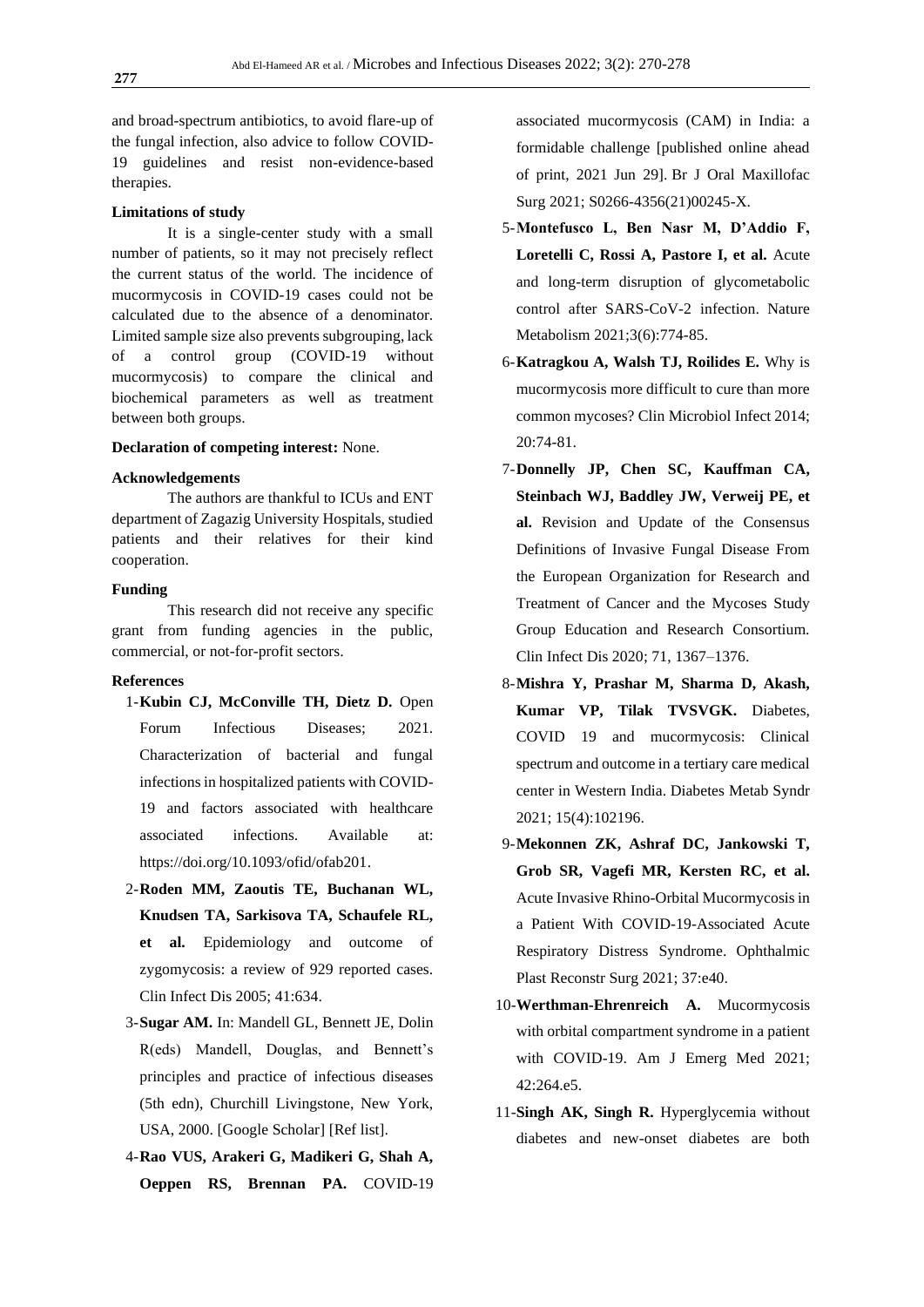and broad-spectrum antibiotics, to avoid flare-up of the fungal infection, also advice to follow COVID-19 guidelines and resist non-evidence-based therapies.

#### **Limitations of study**

It is a single-center study with a small number of patients, so it may not precisely reflect the current status of the world. The incidence of mucormycosis in COVID-19 cases could not be calculated due to the absence of a denominator. Limited sample size also prevents subgrouping, lack of a control group (COVID-19 without mucormycosis) to compare the clinical and biochemical parameters as well as treatment between both groups.

# **Declaration of competing interest:** None.

### **Acknowledgements**

The authors are thankful to ICUs and ENT department of Zagazig University Hospitals, studied patients and their relatives for their kind cooperation.

# **Funding**

This research did not receive any specific grant from funding agencies in the public, commercial, or not-for-profit sectors.

# **References**

- 1-**Kubin CJ, McConville TH, Dietz D.** Open Forum Infectious Diseases; 2021. Characterization of bacterial and fungal infections in hospitalized patients with COVID-19 and factors associated with healthcare associated infections. Available at: [https://doi.org/10.1093/ofid/ofab201.](https://doi.org/10.1093/ofid/ofab201)
- 2-**Roden MM, Zaoutis TE, Buchanan WL, Knudsen TA, Sarkisova TA, Schaufele RL, et al.** Epidemiology and outcome of zygomycosis: a review of 929 reported cases. Clin Infect Dis 2005; 41:634.
- 3-**Sugar AM.** In: Mandell GL, Bennett JE, Dolin R(eds) Mandell, Douglas, and Bennett's principles and practice of infectious diseases (5th edn), Churchill Livingstone, New York, USA, 2000. [\[Google Scholar\]](https://scholar.google.com/scholar_lookup?title=Mandell,+Douglas,+and+Bennett%27s+principles+and+practice+of+infectious+diseases&author=A.M.+Sugar&publication_year=2000&) [\[Ref list\]](https://www.ncbi.nlm.nih.gov/pmc/articles/PMC8137376/#bib6).
- 4-**Rao VUS, Arakeri G, Madikeri G, Shah A, Oeppen RS, Brennan PA.** COVID-19

associated mucormycosis (CAM) in India: a formidable challenge [published online ahead of print, 2021 Jun 29]. Br J Oral Maxillofac Surg 2021; S0266-4356(21)00245-X.

- 5-**Montefusco L, Ben Nasr M, D'Addio F, Loretelli C, Rossi A, Pastore I, et al.** Acute and long-term disruption of glycometabolic control after SARS-CoV-2 infection. Nature Metabolism 2021;3(6):774-85.
- 6-**Katragkou A, Walsh TJ, Roilides E.** Why is mucormycosis more difficult to cure than more common mycoses? Clin Microbiol Infect 2014; 20:74-81.
- 7-**Donnelly JP, Chen SC, Kauffman CA, Steinbach WJ, Baddley JW, Verweij PE, et al.** Revision and Update of the Consensus Definitions of Invasive Fungal Disease From the European Organization for Research and Treatment of Cancer and the Mycoses Study Group Education and Research Consortium. Clin Infect Dis 2020; 71, 1367–1376.
- 8-**Mishra Y, Prashar M, Sharma D, Akash, Kumar VP, Tilak TVSVGK.** Diabetes, COVID 19 and mucormycosis: Clinical spectrum and outcome in a tertiary care medical center in Western India. Diabetes Metab Syndr 2021; 15(4):102196.
- 9-**Mekonnen ZK, Ashraf DC, Jankowski T, Grob SR, Vagefi MR, Kersten RC, et al.** Acute Invasive Rhino-Orbital Mucormycosis in a Patient With COVID-19-Associated Acute Respiratory Distress Syndrome. Ophthalmic Plast Reconstr Surg 2021; 37:e40.
- 10-**Werthman-Ehrenreich A.** Mucormycosis with orbital compartment syndrome in a patient with COVID-19. Am J Emerg Med 2021; 42:264.e5.
- 11-**Singh AK, Singh R.** Hyperglycemia without diabetes and new-onset diabetes are both